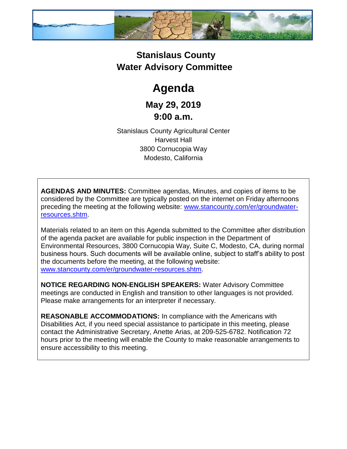

## **Stanislaus County Water Advisory Committee**

## **Agenda**

**May 29, 2019 9:00 a.m.**

Stanislaus County Agricultural Center Harvest Hall 3800 Cornucopia Way Modesto, California

**AGENDAS AND MINUTES:** Committee agendas, Minutes, and copies of items to be considered by the Committee are typically posted on the internet on Friday afternoons preceding the meeting at the following website: [www.stancounty.com/er/groundwater](http://www.stancounty.com/er/groundwater-resources.shtm)[resources.shtm.](http://www.stancounty.com/er/groundwater-resources.shtm)

Materials related to an item on this Agenda submitted to the Committee after distribution of the agenda packet are available for public inspection in the Department of Environmental Resources, 3800 Cornucopia Way, Suite C, Modesto, CA, during normal business hours. Such documents will be available online, subject to staff's ability to post the documents before the meeting, at the following website: [www.stancounty.com/er/groundwater-resources.shtm.](http://www.stancounty.com/er/groundwater-resources.shtm)

**NOTICE REGARDING NON-ENGLISH SPEAKERS:** Water Advisory Committee meetings are conducted in English and transition to other languages is not provided. Please make arrangements for an interpreter if necessary.

**REASONABLE ACCOMMODATIONS:** In compliance with the Americans with Disabilities Act, if you need special assistance to participate in this meeting, please contact the Administrative Secretary, Anette Arias, at 209-525-6782. Notification 72 hours prior to the meeting will enable the County to make reasonable arrangements to ensure accessibility to this meeting.